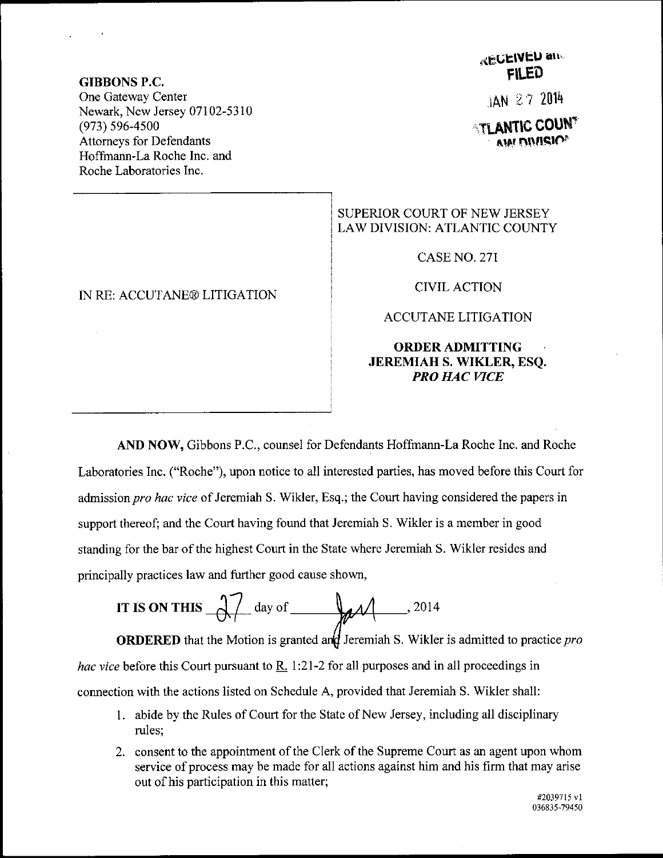#### GIBBONS P.C.

One Gateway Center Newark, New Jersey 07102-5310 (973) s96-4s00 Attomeys for Defendants Hoffmann-La Roche Inc. and Roche Laboratories Inc.

### IN RE: ACCUTANE@ LITIGATION

# **RECEIVED and** FII.ED

jAN 2 ? <sup>2014</sup>

*<b>TLANTIC COUNT* **AIRI DIMSIO**®

## SUPERIOR COURT OF NEW JERSEY LAW DIVISION: ATLANTIC COUNTY

CASE NO. 271

CIVIL ACTION

#### ACCUTANE LITIGATION

## ORDERADMITTING JEREMIAH S. WIKLER, ESO. PRO HAC VICE

AIID NOW, Gibbons P.C., counsel for Defendants Hoffmann-La Roche Inc. and Roche Laboratories Inc. ("Roche"), upon notice to all interested parties, has moved before this Court for admission pro hac vice of Jeremiah S. Wikler, Esq.; the Court having considered the papers in support thereof; and the Court having found that Jeremiah S. Wikler is a member in good standing for the bar of the highest Court in the State where Jeremiah S. Wikler resides and principally practices law and further good cause shown,

IT IS ON THIS 
$$
\frac{1}{\sqrt{1-\omega}}
$$
 day of  $\frac{1}{\sqrt{1-\omega}}$ , 2014

**ORDERED** that the Motion is granted and Jeremiah S. Wikler is admitted to practice *pro* hac vice before this Court pursuant to  $R<sub>1</sub>$  1:21-2 for all purposes and in all proceedings in connection with the actions listed on Schedule A, provided that Jeremiah S. Wikler shall:

- 1. abide by the Rules of Court for the State of New Jersey, including all disciplinary rules;
- 2. consent to the appointment of the Clerk of the Supreme Court as an agent upon whom service of process may be made for all actions against him and his firm that may arise out of his participation in this matter;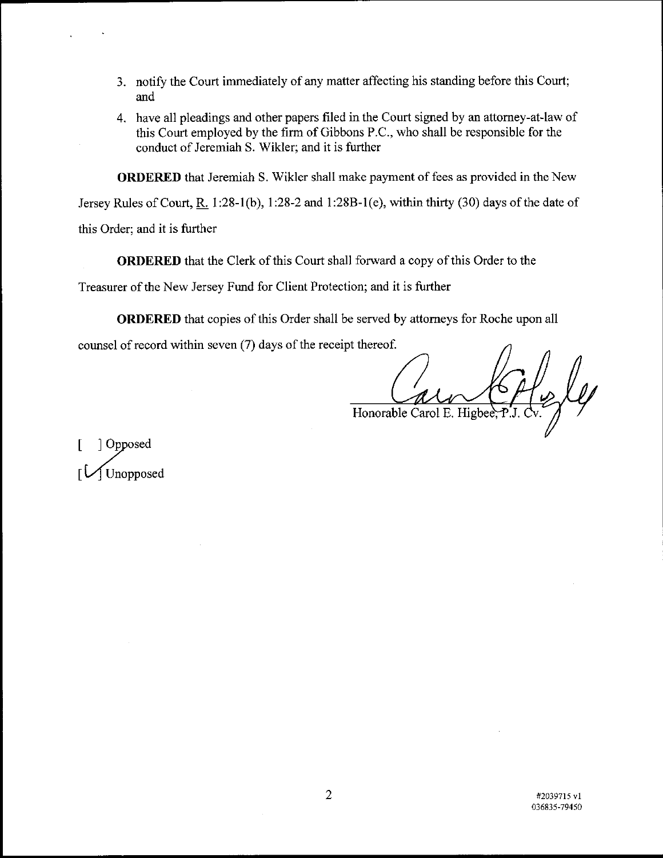- 3. notify the Court immediately of any matter affecting his standing before this Court; and
- 4. have all pleadings and other papers filed in the Court signed by an attorney-at-law of this Court employed by the firm of Gibbons P.C., who shall be responsible for the conduct of Jeremiah S. Wikler; and it is further

**ORDERED** that Jeremiah S. Wikler shall make payment of fees as provided in the New

Jersey Rules of Court, R. 1:28-1(b), 1:28-2 and 1:28B-1(e), within thirty (30) days of the date of

this Order; and it is further

ORDERED that the Clerk of this Court shall forward a copy of this Order to the

Treasurer of the New Jersey Fund for Client Protection; and it is further

ORDERED that copies of this Order shall be served by attomeys for Roche upon all

counsel of record within seven (7) days of the receipt thereof.

 $\frac{1}{2}$ Honorable Carol E. Higbee

[ Opposed I Unopposed